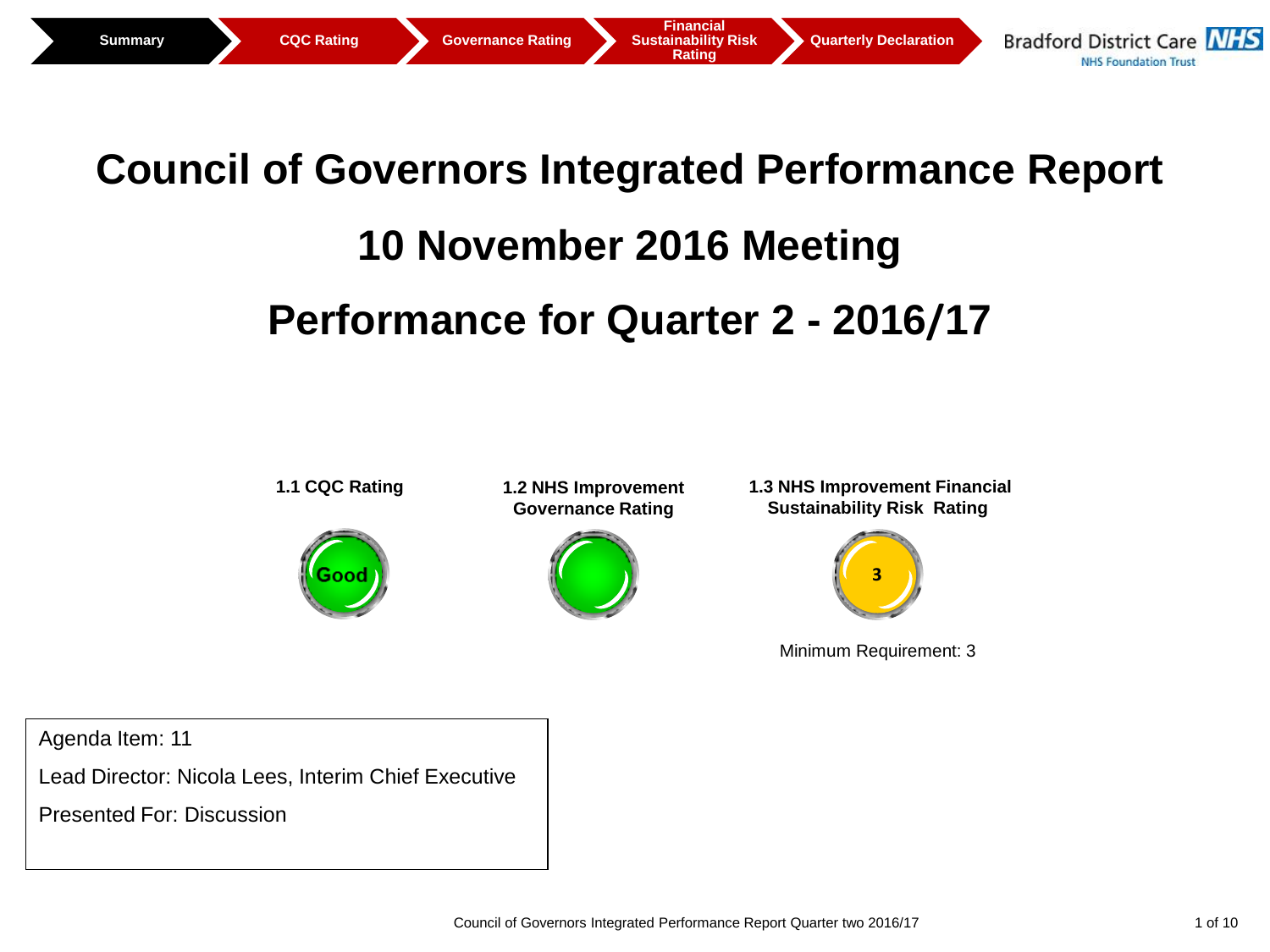# **Council of Governors Integrated Performance Report 10 November 2016 Meeting**

# **Performance for Quarter 2 - 2016/17**



Agenda Item: 11

Lead Director: Nicola Lees, Interim Chief Executive

Presented For: Discussion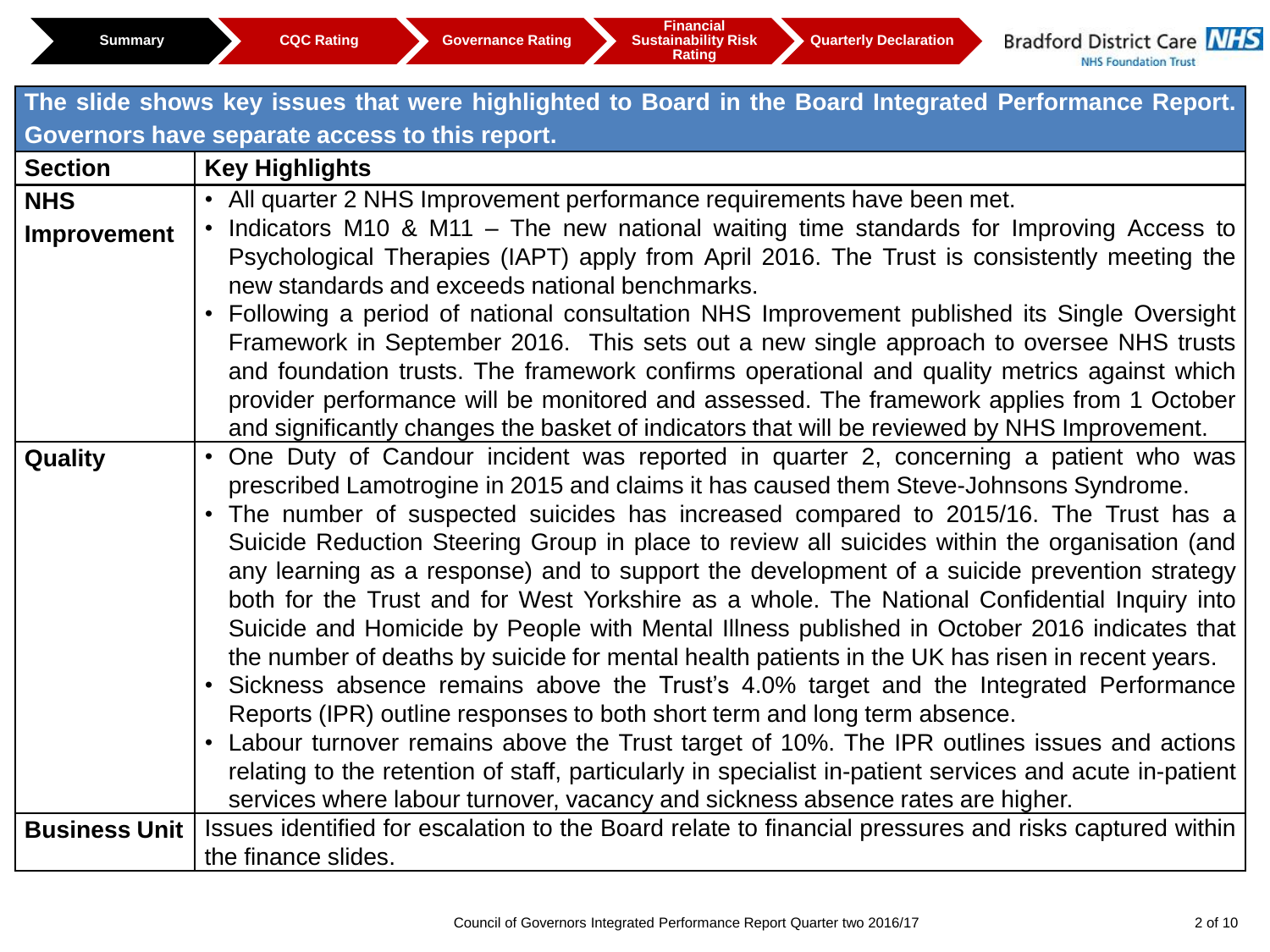|                      | The slide shows key issues that were highlighted to Board in the Board Integrated Performance Report.                                                                                     |
|----------------------|-------------------------------------------------------------------------------------------------------------------------------------------------------------------------------------------|
|                      | Governors have separate access to this report.                                                                                                                                            |
| <b>Section</b>       | <b>Key Highlights</b>                                                                                                                                                                     |
| <b>NHS</b>           | • All quarter 2 NHS Improvement performance requirements have been met.                                                                                                                   |
| <b>Improvement</b>   | Indicators M10 & M11 – The new national waiting time standards for Improving Access to                                                                                                    |
|                      | Psychological Therapies (IAPT) apply from April 2016. The Trust is consistently meeting the                                                                                               |
|                      | new standards and exceeds national benchmarks.                                                                                                                                            |
|                      | Following a period of national consultation NHS Improvement published its Single Oversight<br>$\bullet$                                                                                   |
|                      | Framework in September 2016. This sets out a new single approach to oversee NHS trusts                                                                                                    |
|                      | and foundation trusts. The framework confirms operational and quality metrics against which                                                                                               |
|                      | provider performance will be monitored and assessed. The framework applies from 1 October<br>and significantly changes the basket of indicators that will be reviewed by NHS Improvement. |
| <b>Quality</b>       | One Duty of Candour incident was reported in quarter 2, concerning a patient who was<br>$\bullet$                                                                                         |
|                      | prescribed Lamotrogine in 2015 and claims it has caused them Steve-Johnsons Syndrome.                                                                                                     |
|                      | The number of suspected suicides has increased compared to 2015/16. The Trust has a<br>$\bullet$                                                                                          |
|                      | Suicide Reduction Steering Group in place to review all suicides within the organisation (and                                                                                             |
|                      | any learning as a response) and to support the development of a suicide prevention strategy                                                                                               |
|                      | both for the Trust and for West Yorkshire as a whole. The National Confidential Inquiry into                                                                                              |
|                      | Suicide and Homicide by People with Mental Illness published in October 2016 indicates that                                                                                               |
|                      | the number of deaths by suicide for mental health patients in the UK has risen in recent years.                                                                                           |
|                      | Sickness absence remains above the Trust's 4.0% target and the Integrated Performance<br>$\bullet$                                                                                        |
|                      | Reports (IPR) outline responses to both short term and long term absence.                                                                                                                 |
|                      | Labour turnover remains above the Trust target of 10%. The IPR outlines issues and actions<br>$\bullet$                                                                                   |
|                      | relating to the retention of staff, particularly in specialist in-patient services and acute in-patient                                                                                   |
|                      | services where labour turnover, vacancy and sickness absence rates are higher.                                                                                                            |
| <b>Business Unit</b> | Issues identified for escalation to the Board relate to financial pressures and risks captured within                                                                                     |
|                      | the finance slides.                                                                                                                                                                       |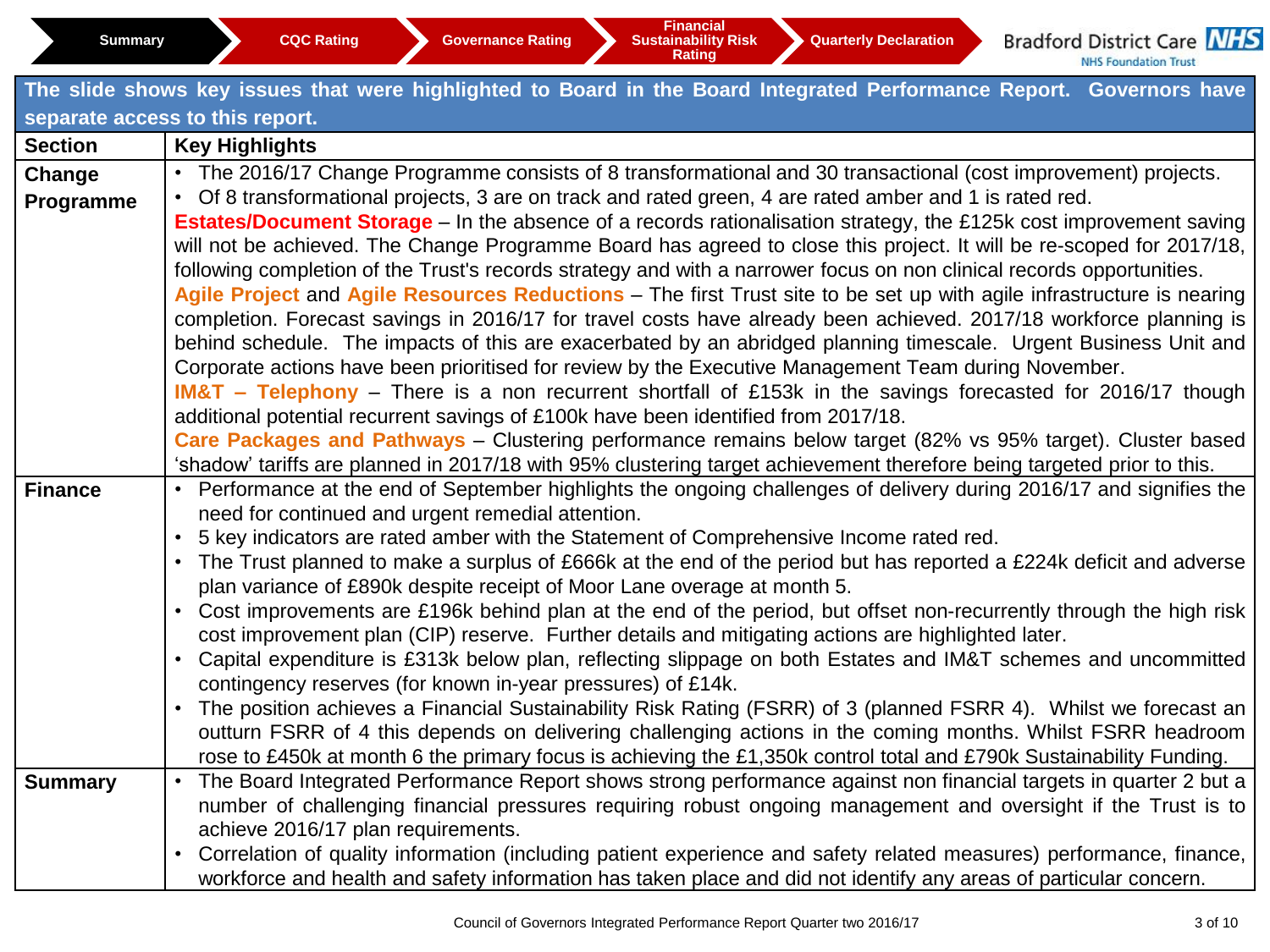**Rating** 

|                | The slide shows key issues that were highlighted to Board in the Board Integrated Performance Report. Governors have                                                                                                             |  |  |  |  |  |  |  |  |  |
|----------------|----------------------------------------------------------------------------------------------------------------------------------------------------------------------------------------------------------------------------------|--|--|--|--|--|--|--|--|--|
|                | separate access to this report.                                                                                                                                                                                                  |  |  |  |  |  |  |  |  |  |
| <b>Section</b> | <b>Key Highlights</b>                                                                                                                                                                                                            |  |  |  |  |  |  |  |  |  |
| Change         | • The 2016/17 Change Programme consists of 8 transformational and 30 transactional (cost improvement) projects.                                                                                                                  |  |  |  |  |  |  |  |  |  |
| Programme      | Of 8 transformational projects, 3 are on track and rated green, 4 are rated amber and 1 is rated red.                                                                                                                            |  |  |  |  |  |  |  |  |  |
|                | <b>Estates/Document Storage</b> – In the absence of a records rationalisation strategy, the £125k cost improvement saving                                                                                                        |  |  |  |  |  |  |  |  |  |
|                | will not be achieved. The Change Programme Board has agreed to close this project. It will be re-scoped for 2017/18,                                                                                                             |  |  |  |  |  |  |  |  |  |
|                | following completion of the Trust's records strategy and with a narrower focus on non clinical records opportunities.                                                                                                            |  |  |  |  |  |  |  |  |  |
|                | Agile Project and Agile Resources Reductions - The first Trust site to be set up with agile infrastructure is nearing                                                                                                            |  |  |  |  |  |  |  |  |  |
|                | completion. Forecast savings in 2016/17 for travel costs have already been achieved. 2017/18 workforce planning is                                                                                                               |  |  |  |  |  |  |  |  |  |
|                | behind schedule. The impacts of this are exacerbated by an abridged planning timescale. Urgent Business Unit and<br>Corporate actions have been prioritised for review by the Executive Management Team during November.         |  |  |  |  |  |  |  |  |  |
|                | <b>IM&amp;T</b> – Telephony – There is a non recurrent shortfall of £153k in the savings forecasted for 2016/17 though                                                                                                           |  |  |  |  |  |  |  |  |  |
|                | additional potential recurrent savings of £100k have been identified from 2017/18.                                                                                                                                               |  |  |  |  |  |  |  |  |  |
|                | Care Packages and Pathways - Clustering performance remains below target (82% vs 95% target). Cluster based                                                                                                                      |  |  |  |  |  |  |  |  |  |
|                | 'shadow' tariffs are planned in 2017/18 with 95% clustering target achievement therefore being targeted prior to this.                                                                                                           |  |  |  |  |  |  |  |  |  |
| <b>Finance</b> | Performance at the end of September highlights the ongoing challenges of delivery during 2016/17 and signifies the<br>$\bullet$                                                                                                  |  |  |  |  |  |  |  |  |  |
|                | need for continued and urgent remedial attention.                                                                                                                                                                                |  |  |  |  |  |  |  |  |  |
|                | 5 key indicators are rated amber with the Statement of Comprehensive Income rated red.<br>$\bullet$                                                                                                                              |  |  |  |  |  |  |  |  |  |
|                | The Trust planned to make a surplus of £666k at the end of the period but has reported a £224k deficit and adverse<br>$\bullet$                                                                                                  |  |  |  |  |  |  |  |  |  |
|                | plan variance of £890k despite receipt of Moor Lane overage at month 5.                                                                                                                                                          |  |  |  |  |  |  |  |  |  |
|                | Cost improvements are £196k behind plan at the end of the period, but offset non-recurrently through the high risk<br>$\bullet$                                                                                                  |  |  |  |  |  |  |  |  |  |
|                | cost improvement plan (CIP) reserve. Further details and mitigating actions are highlighted later.<br>Capital expenditure is £313k below plan, reflecting slippage on both Estates and IM&T schemes and uncommitted<br>$\bullet$ |  |  |  |  |  |  |  |  |  |
|                | contingency reserves (for known in-year pressures) of £14k.                                                                                                                                                                      |  |  |  |  |  |  |  |  |  |
|                | The position achieves a Financial Sustainability Risk Rating (FSRR) of 3 (planned FSRR 4). Whilst we forecast an                                                                                                                 |  |  |  |  |  |  |  |  |  |
|                | outturn FSRR of 4 this depends on delivering challenging actions in the coming months. Whilst FSRR headroom                                                                                                                      |  |  |  |  |  |  |  |  |  |
|                | rose to £450k at month 6 the primary focus is achieving the £1,350k control total and £790k Sustainability Funding.                                                                                                              |  |  |  |  |  |  |  |  |  |
| <b>Summary</b> | The Board Integrated Performance Report shows strong performance against non financial targets in quarter 2 but a<br>$\bullet$                                                                                                   |  |  |  |  |  |  |  |  |  |
|                | number of challenging financial pressures requiring robust ongoing management and oversight if the Trust is to                                                                                                                   |  |  |  |  |  |  |  |  |  |
|                | achieve 2016/17 plan requirements.                                                                                                                                                                                               |  |  |  |  |  |  |  |  |  |
|                | Correlation of quality information (including patient experience and safety related measures) performance, finance,                                                                                                              |  |  |  |  |  |  |  |  |  |
|                | workforce and health and safety information has taken place and did not identify any areas of particular concern.                                                                                                                |  |  |  |  |  |  |  |  |  |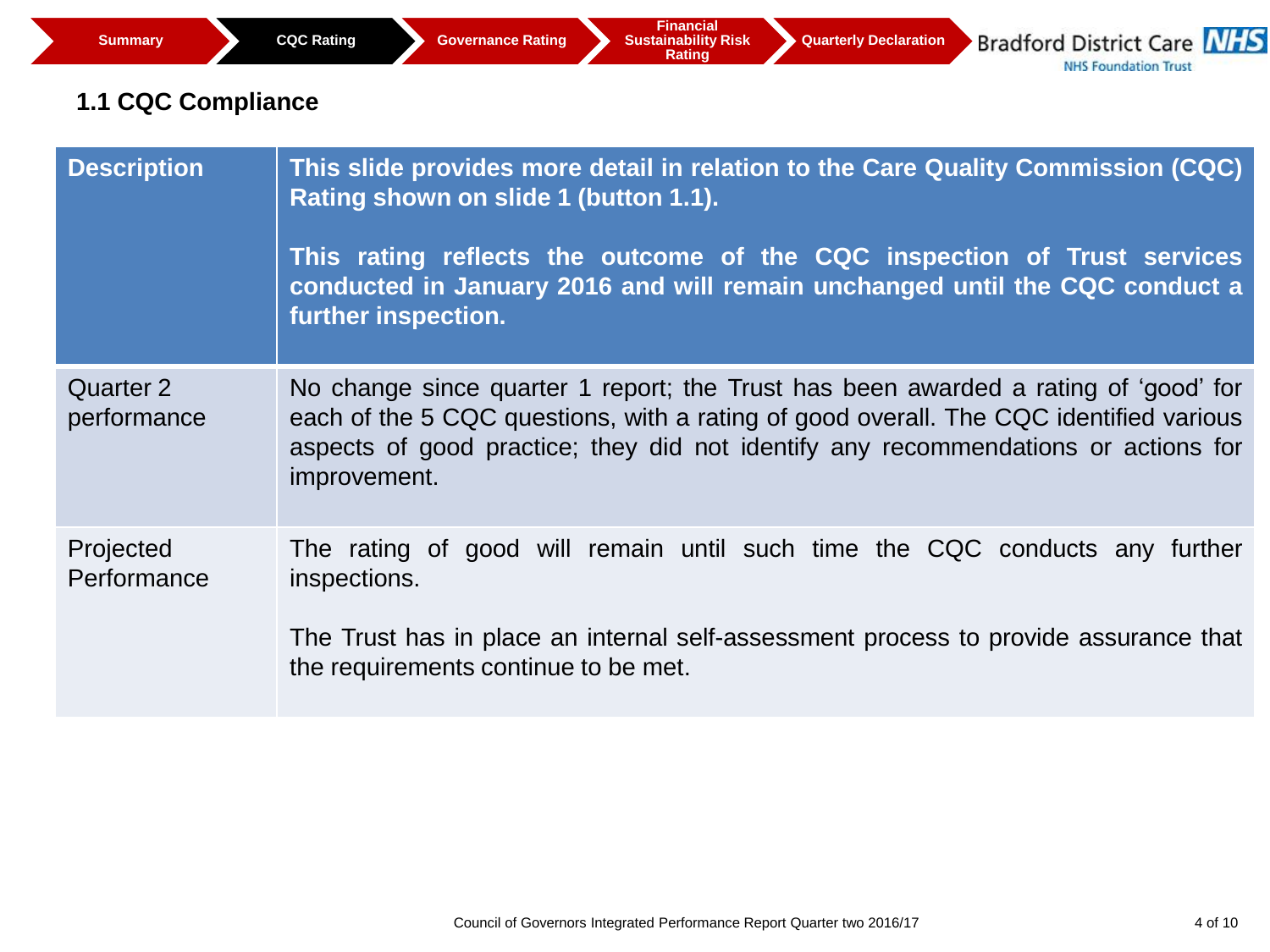# **1.1 CQC Compliance**

| <b>Description</b>              | This slide provides more detail in relation to the Care Quality Commission (CQC)<br>Rating shown on slide 1 (button 1.1).<br>This rating reflects the outcome of the CQC inspection of Trust services<br>conducted in January 2016 and will remain unchanged until the CQC conduct a<br>further inspection. |
|---------------------------------|-------------------------------------------------------------------------------------------------------------------------------------------------------------------------------------------------------------------------------------------------------------------------------------------------------------|
| <b>Quarter 2</b><br>performance | No change since quarter 1 report; the Trust has been awarded a rating of 'good' for<br>each of the 5 CQC questions, with a rating of good overall. The CQC identified various<br>aspects of good practice; they did not identify any recommendations or actions for<br>improvement.                         |
| Projected<br>Performance        | The rating of good will remain until such time the CQC conducts any further<br>inspections.<br>The Trust has in place an internal self-assessment process to provide assurance that<br>the requirements continue to be met.                                                                                 |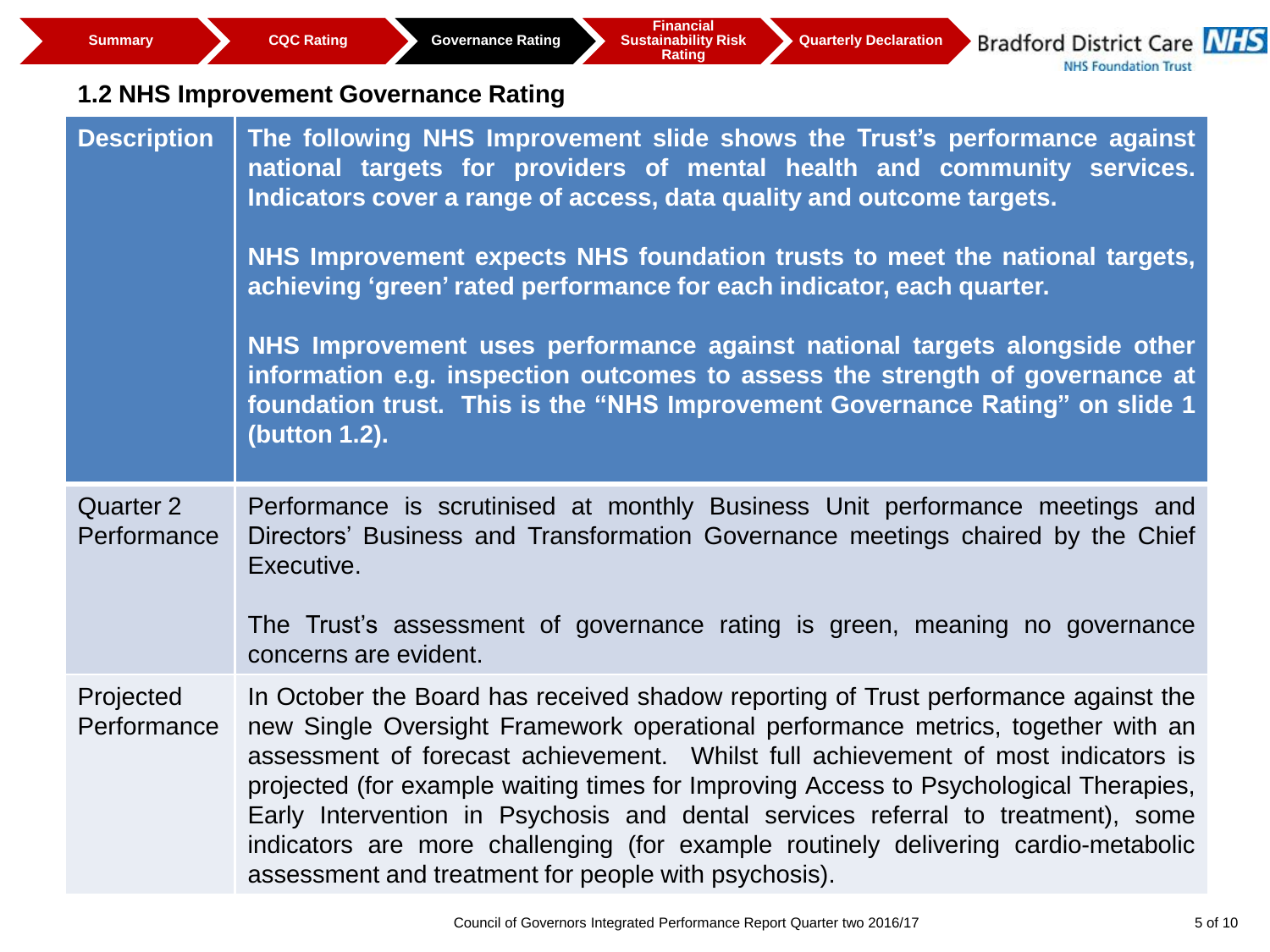| <b>Summary</b>                  | <b>Financial</b><br><b>Bradford District Care NHS</b><br><b>CQC Rating</b><br><b>Governance Rating</b><br><b>Sustainability Risk</b><br><b>Quarterly Declaration</b><br><b>Rating</b><br><b>NHS Foundation Trust</b>                                                                                                                                                                                                                                                                                                                                                                    |
|---------------------------------|-----------------------------------------------------------------------------------------------------------------------------------------------------------------------------------------------------------------------------------------------------------------------------------------------------------------------------------------------------------------------------------------------------------------------------------------------------------------------------------------------------------------------------------------------------------------------------------------|
|                                 | <b>1.2 NHS Improvement Governance Rating</b>                                                                                                                                                                                                                                                                                                                                                                                                                                                                                                                                            |
| <b>Description</b>              | The following NHS Improvement slide shows the Trust's performance against<br>national targets for providers of mental health and community services.<br>Indicators cover a range of access, data quality and outcome targets.                                                                                                                                                                                                                                                                                                                                                           |
|                                 | NHS Improvement expects NHS foundation trusts to meet the national targets,<br>achieving 'green' rated performance for each indicator, each quarter.                                                                                                                                                                                                                                                                                                                                                                                                                                    |
|                                 | NHS Improvement uses performance against national targets alongside other<br>information e.g. inspection outcomes to assess the strength of governance at<br>foundation trust. This is the "NHS Improvement Governance Rating" on slide 1<br>(button 1.2).                                                                                                                                                                                                                                                                                                                              |
| <b>Quarter 2</b><br>Performance | Performance is scrutinised at monthly Business Unit performance meetings and<br>Directors' Business and Transformation Governance meetings chaired by the Chief<br>Executive.<br>The Trust's assessment of governance rating is green, meaning no governance                                                                                                                                                                                                                                                                                                                            |
|                                 | concerns are evident.                                                                                                                                                                                                                                                                                                                                                                                                                                                                                                                                                                   |
| Projected<br>Performance        | In October the Board has received shadow reporting of Trust performance against the<br>new Single Oversight Framework operational performance metrics, together with an<br>assessment of forecast achievement. Whilst full achievement of most indicators is<br>projected (for example waiting times for Improving Access to Psychological Therapies,<br>Early Intervention in Psychosis and dental services referral to treatment), some<br>indicators are more challenging (for example routinely delivering cardio-metabolic<br>assessment and treatment for people with psychosis). |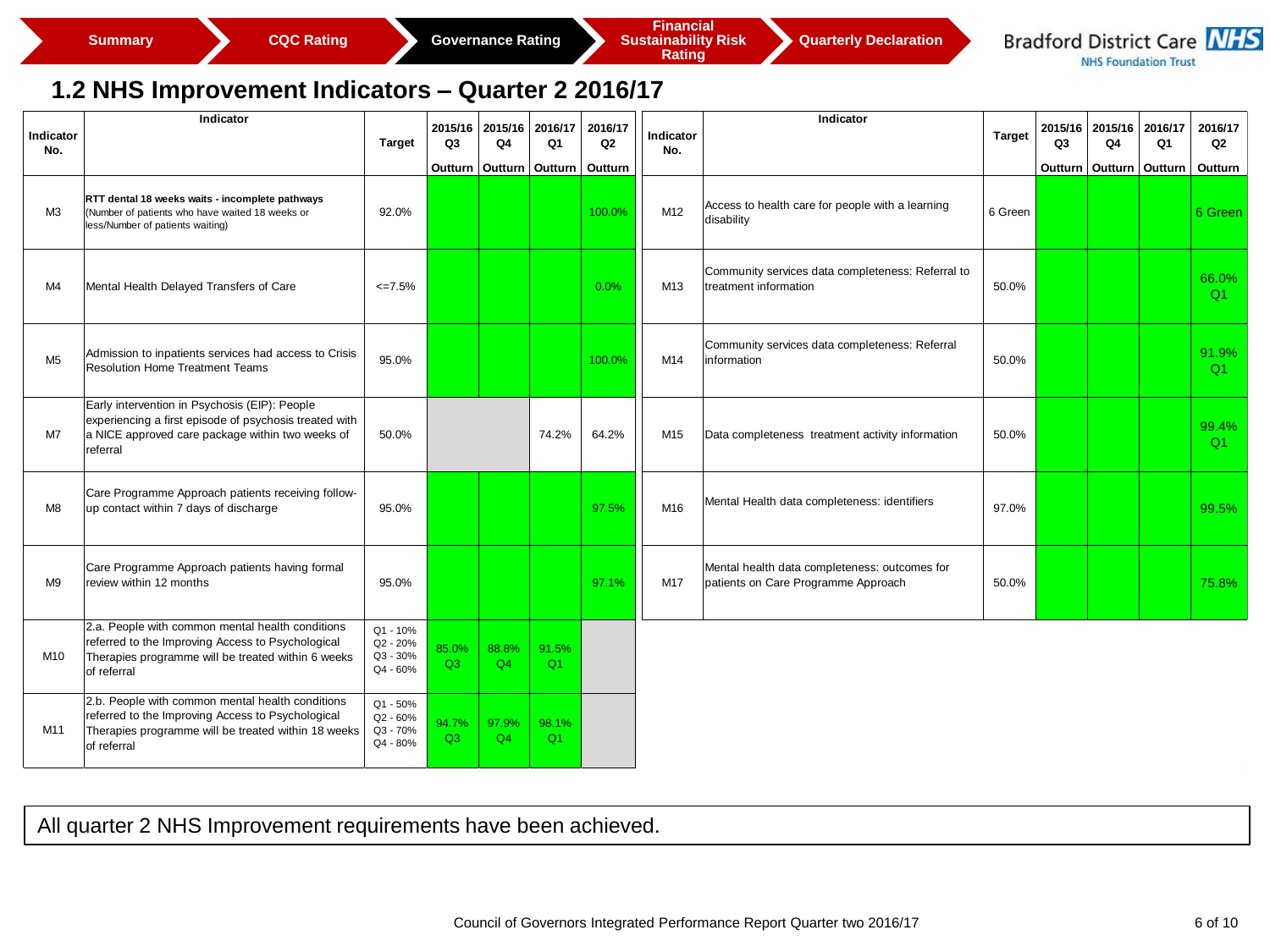

#### **1.2 NHS Improvement Indicators – Quarter 2 2016/17**

| Indicator      | Indicator                                                                                                                                                                   |                                                |                | 2015/16 2015/16 | 2016/17     | 2016/17        | Indicator | Indicator                                                                            |               | 2015/16        | 2015/16 | 2016/17 | 2016/17        |
|----------------|-----------------------------------------------------------------------------------------------------------------------------------------------------------------------------|------------------------------------------------|----------------|-----------------|-------------|----------------|-----------|--------------------------------------------------------------------------------------|---------------|----------------|---------|---------|----------------|
| No.            |                                                                                                                                                                             | <b>Target</b>                                  | Q <sub>3</sub> | Q4              | Q1          | Q <sub>2</sub> | No.       |                                                                                      | <b>Target</b> | Q <sub>3</sub> | Q4      | Q1      | Q <sub>2</sub> |
|                |                                                                                                                                                                             |                                                | Outturn        | Outturn         | Outturn     | Outturn        |           |                                                                                      |               | Outturn        | Outturn | Outturn | Outturn        |
| M <sub>3</sub> | RTT dental 18 weeks waits - incomplete pathways<br>(Number of patients who have waited 18 weeks or<br>less/Number of patients waiting)                                      | 92.0%                                          |                |                 |             | 100.0%         | M12       | Access to health care for people with a learning<br>disability                       | 6 Green       |                |         |         | 6 Green        |
| M4             | Mental Health Delayed Transfers of Care                                                                                                                                     | $\leq 7.5\%$                                   |                |                 |             | 0.0%           | M13       | Community services data completeness: Referral to<br>treatment information           | 50.0%         |                |         |         | 66.0%<br>Q1    |
| M <sub>5</sub> | Admission to inpatients services had access to Crisis<br><b>Resolution Home Treatment Teams</b>                                                                             | 95.0%                                          |                |                 |             | 100.0%         | M14       | Community services data completeness: Referral<br>information                        | 50.0%         |                |         |         | 91.9%<br>Q1    |
| M7             | Early intervention in Psychosis (EIP): People<br>experiencing a first episode of psychosis treated with<br>a NICE approved care package within two weeks of<br>referral     | 50.0%                                          |                |                 | 74.2%       | 64.2%          | M15       | Data completeness treatment activity information                                     | 50.0%         |                |         |         | 99.4%<br>Q1    |
| M <sub>8</sub> | Care Programme Approach patients receiving follow-<br>up contact within 7 days of discharge                                                                                 | 95.0%                                          |                |                 |             | 97.5%          | M16       | Mental Health data completeness: identifiers                                         | 97.0%         |                |         |         | 99.5%          |
| M <sub>9</sub> | Care Programme Approach patients having formal<br>review within 12 months                                                                                                   | 95.0%                                          |                |                 |             | 97.1%          | M17       | Mental health data completeness: outcomes for<br>patients on Care Programme Approach | 50.0%         |                |         |         | 75.8%          |
| M10            | 2.a. People with common mental health conditions<br>referred to the Improving Access to Psychological<br>Therapies programme will be treated within 6 weeks<br>of referral  | $Q1 - 10%$<br>Q2 - 20%<br>Q3 - 30%<br>Q4 - 60% | 85.0%<br>Q3    | 88.8%<br>Q4     | 91.5%<br>Q1 |                |           |                                                                                      |               |                |         |         |                |
| M11            | 2.b. People with common mental health conditions<br>referred to the Improving Access to Psychological<br>Therapies programme will be treated within 18 weeks<br>of referral | Q1 - 50%<br>Q2 - 60%<br>Q3 - 70%<br>Q4 - 80%   | 94.7%<br>Q3    | 97.9%<br>Q4     | 98.1%<br>Q1 |                |           |                                                                                      |               |                |         |         |                |
|                |                                                                                                                                                                             |                                                |                |                 |             |                |           |                                                                                      |               |                |         |         |                |
|                | All quarter 2 NHS Improvement requirements have been achieved.                                                                                                              |                                                |                |                 |             |                |           |                                                                                      |               |                |         |         |                |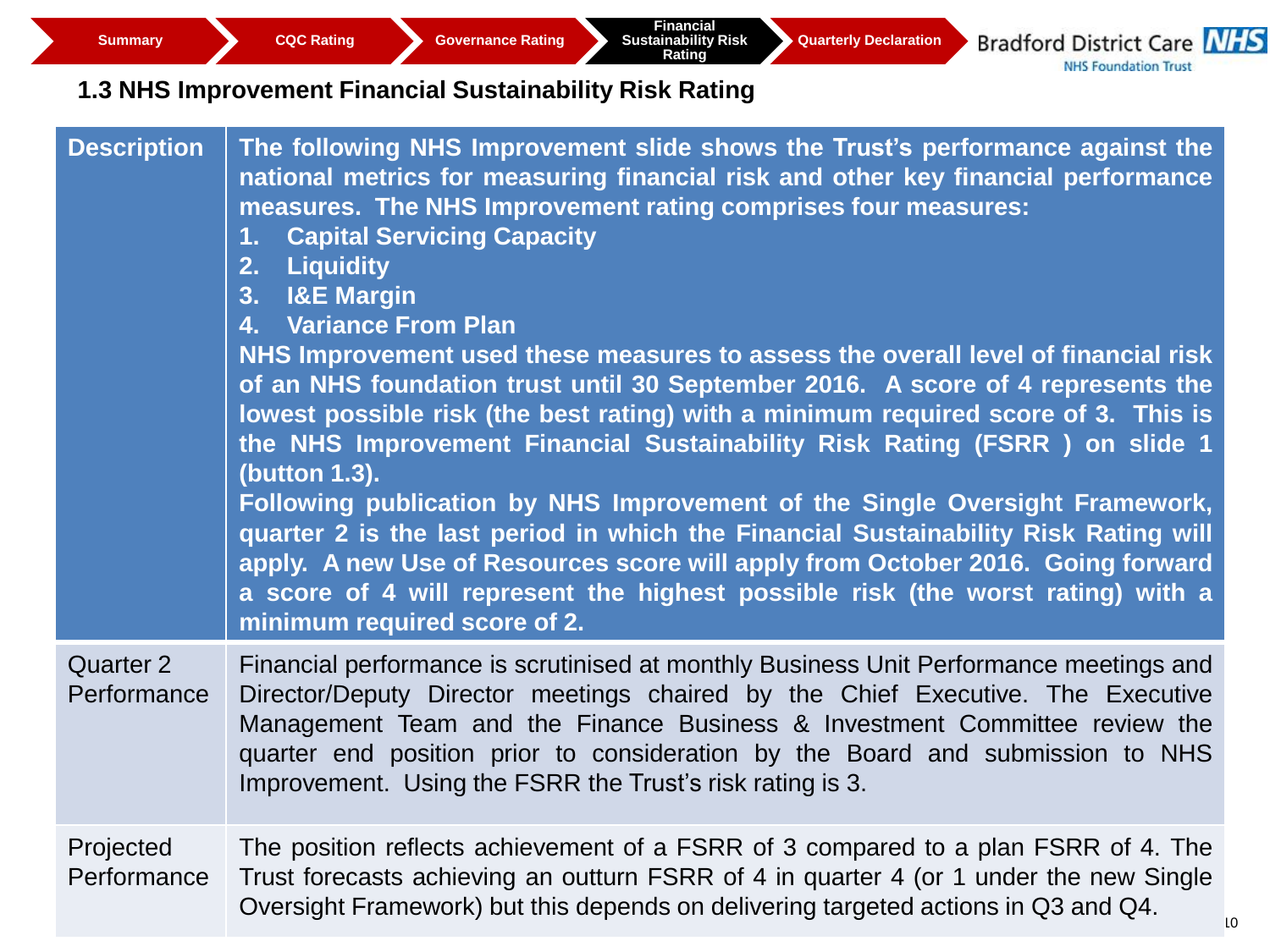# **1.3 NHS Improvement Financial Sustainability Risk Rating**

| <b>Description</b>       | The following NHS Improvement slide shows the Trust's performance against the<br>national metrics for measuring financial risk and other key financial performance<br>measures. The NHS Improvement rating comprises four measures:<br><b>Capital Servicing Capacity</b><br>1.<br>2. Liquidity<br>3. I&E Margin<br>4. Variance From Plan<br>NHS Improvement used these measures to assess the overall level of financial risk<br>of an NHS foundation trust until 30 September 2016. A score of 4 represents the<br>lowest possible risk (the best rating) with a minimum required score of 3. This is<br>the NHS Improvement Financial Sustainability Risk Rating (FSRR) on slide 1<br>(button 1.3).<br>Following publication by NHS Improvement of the Single Oversight Framework,<br>quarter 2 is the last period in which the Financial Sustainability Risk Rating will<br>apply. A new Use of Resources score will apply from October 2016. Going forward<br>a score of 4 will represent the highest possible risk (the worst rating) with a<br>minimum required score of 2. |
|--------------------------|-----------------------------------------------------------------------------------------------------------------------------------------------------------------------------------------------------------------------------------------------------------------------------------------------------------------------------------------------------------------------------------------------------------------------------------------------------------------------------------------------------------------------------------------------------------------------------------------------------------------------------------------------------------------------------------------------------------------------------------------------------------------------------------------------------------------------------------------------------------------------------------------------------------------------------------------------------------------------------------------------------------------------------------------------------------------------------------|
| Quarter 2<br>Performance | Financial performance is scrutinised at monthly Business Unit Performance meetings and<br>Director/Deputy Director meetings chaired by the Chief Executive. The Executive<br>Management Team and the Finance Business & Investment Committee review the<br>quarter end position prior to consideration by the Board and submission to NHS<br>Improvement. Using the FSRR the Trust's risk rating is 3.                                                                                                                                                                                                                                                                                                                                                                                                                                                                                                                                                                                                                                                                            |
| Projected<br>Performance | The position reflects achievement of a FSRR of 3 compared to a plan FSRR of 4. The<br>Trust forecasts achieving an outturn FSRR of 4 in quarter 4 (or 1 under the new Single<br>Oversight Framework) but this depends on delivering targeted actions in Q3 and Q4.<br>10                                                                                                                                                                                                                                                                                                                                                                                                                                                                                                                                                                                                                                                                                                                                                                                                          |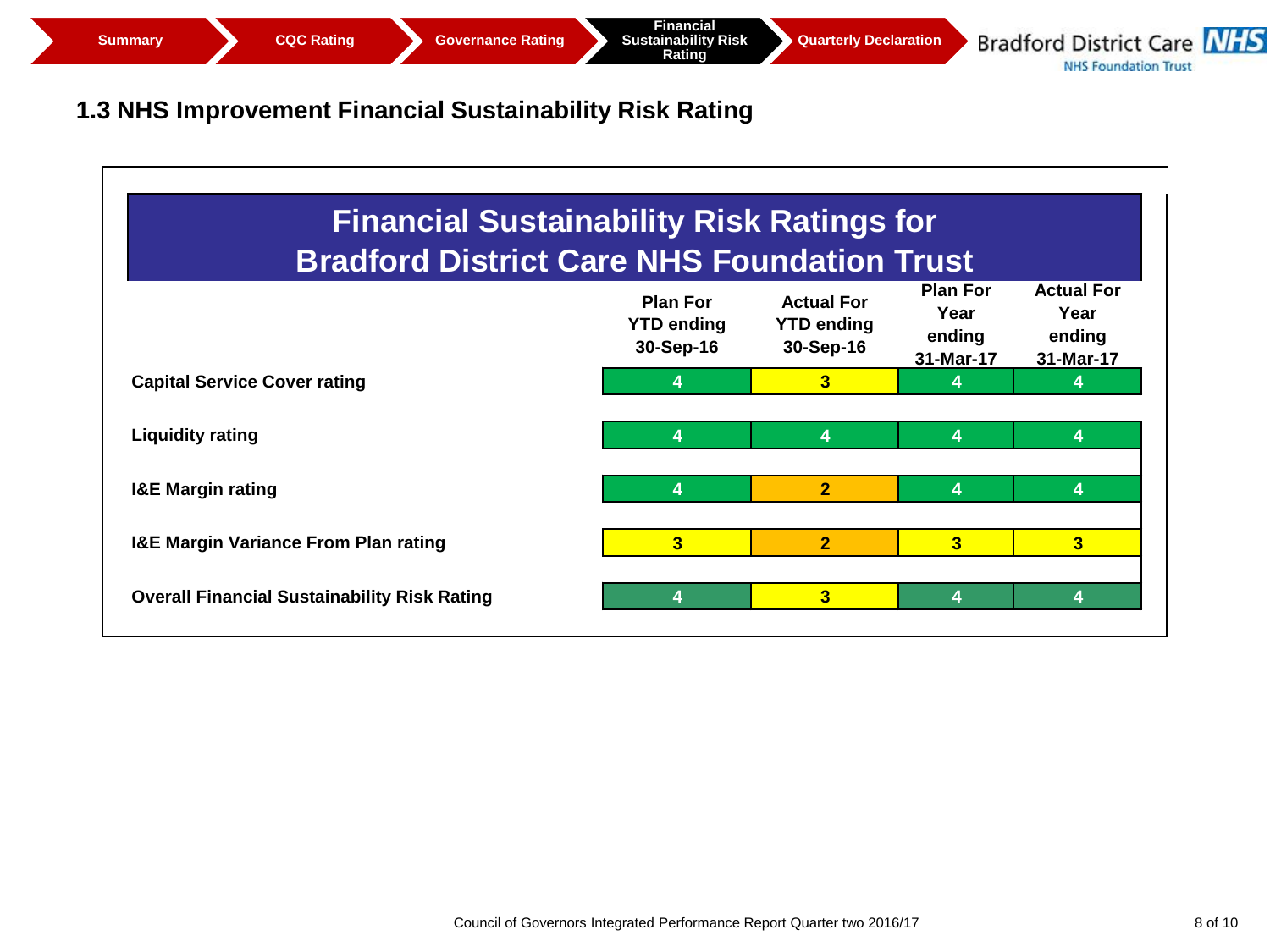**Quarterly Declaration** 

**Bradford District Care NHS NHS Foundation Trust** 

# **1.3 NHS Improvement Financial Sustainability Risk Rating**

| <b>Financial Sustainability Risk Ratings for</b><br><b>Bradford District Care NHS Foundation Trust</b> |                                                   |                                                     |                                                |                                                  |  |
|--------------------------------------------------------------------------------------------------------|---------------------------------------------------|-----------------------------------------------------|------------------------------------------------|--------------------------------------------------|--|
|                                                                                                        | <b>Plan For</b><br><b>YTD ending</b><br>30-Sep-16 | <b>Actual For</b><br><b>YTD ending</b><br>30-Sep-16 | <b>Plan For</b><br>Year<br>ending<br>31-Mar-17 | <b>Actual For</b><br>Year<br>ending<br>31-Mar-17 |  |
| <b>Capital Service Cover rating</b>                                                                    | 4                                                 | 3                                                   | 4                                              |                                                  |  |
| <b>Liquidity rating</b>                                                                                | 4                                                 | 4                                                   | 4                                              | 4                                                |  |
| <b>I&amp;E Margin rating</b>                                                                           | 4                                                 | $\overline{2}$                                      | 4                                              | 4                                                |  |
| <b>I&amp;E Margin Variance From Plan rating</b>                                                        | $\overline{\mathbf{3}}$                           | $\overline{2}$                                      | $\overline{3}$                                 | 3                                                |  |
| <b>Overall Financial Sustainability Risk Rating</b>                                                    | 4                                                 | 3                                                   | 4                                              | 4                                                |  |
|                                                                                                        |                                                   |                                                     |                                                |                                                  |  |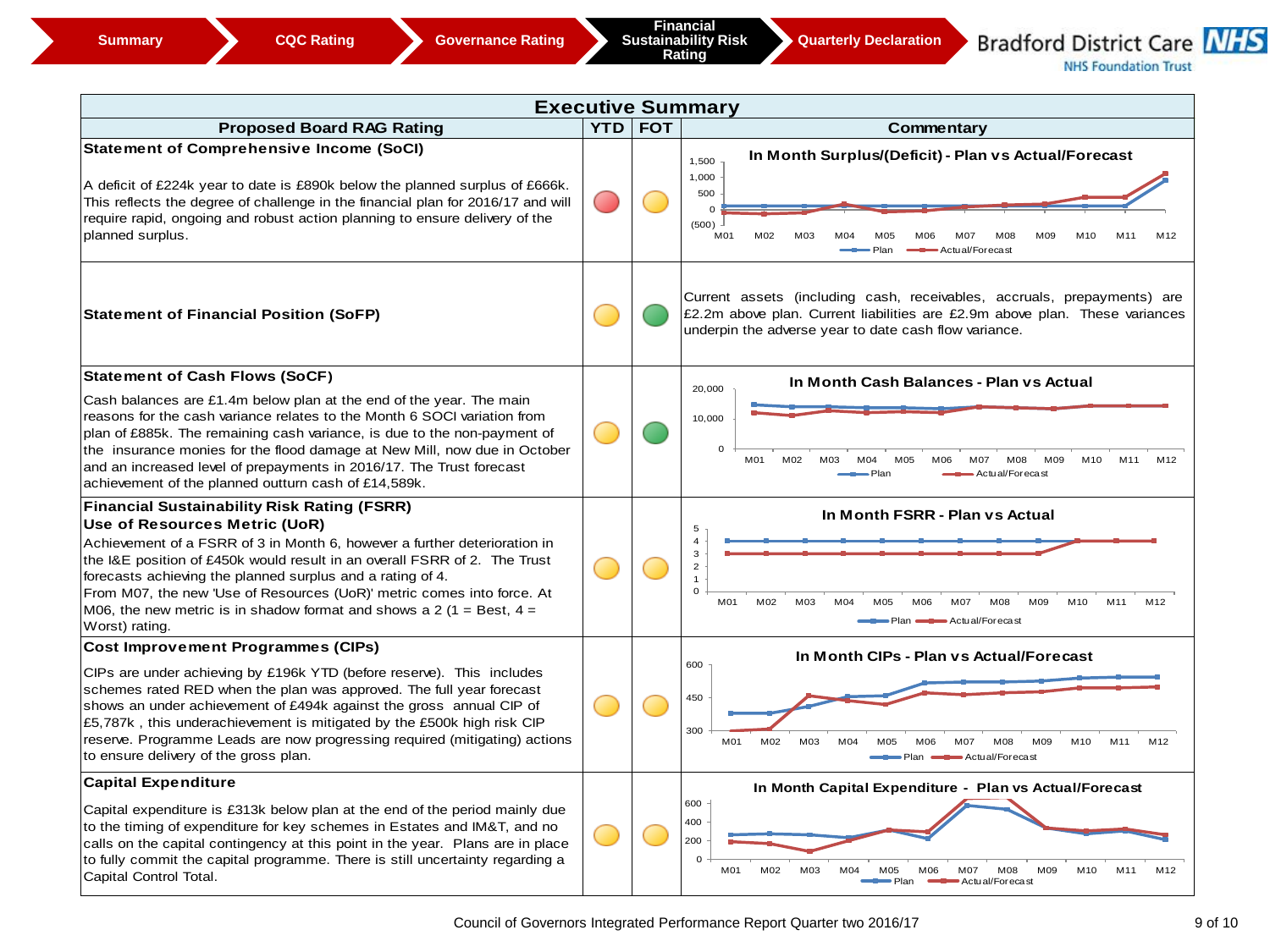**Quarterly Declaration** 

**Bradford District Care NHS NHS Foundation Trust**